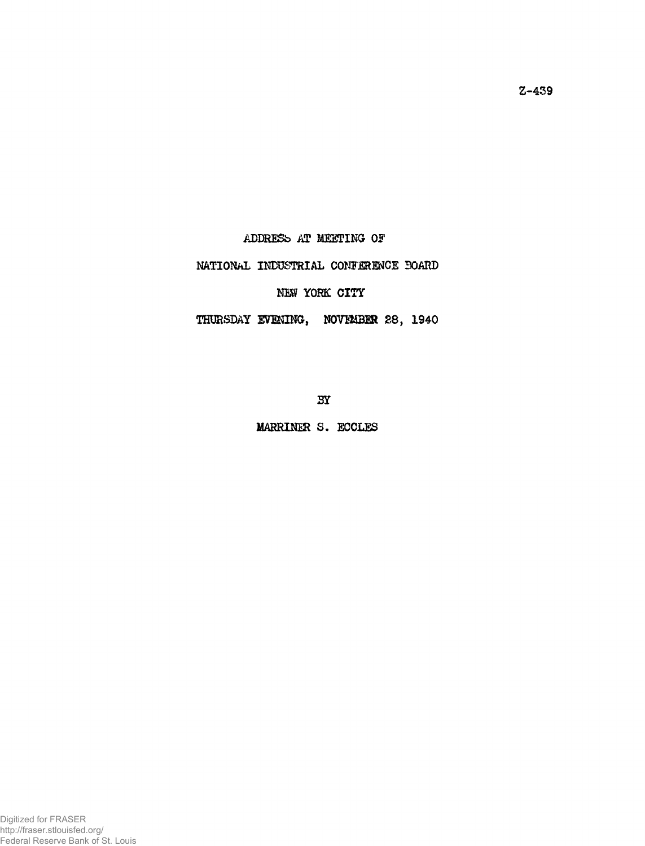**ADDRESb AT MEETING Of**

## **NATIONAL INDUSTRIAL CONFERENCE BOARD**

## NEW YORK CITY

## THURSDAY EVENING, NOVEMBER 28, 1940

**3Y**

**MARRINER S. ECCLES**

**Z-459**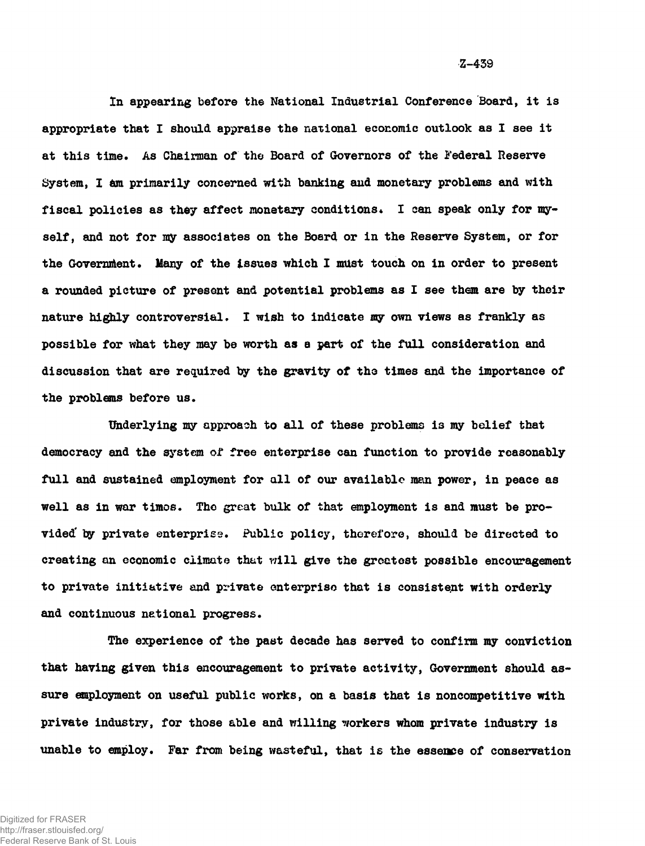**In appearing before the National Industrial Conference Board, it is appropriate that I should appraise the national economic outlook as I see it at this time. As Chairman of the Board of Governors of the Federal Reserve** System, I am primarily concerned with banking and monetary problems and with fiscal policies as they affect monetary conditions. I can speak only for my**self, and not for my associates on the Board or in the Reserve System, or for the Government. Many of the issues which I must touch on in order to present a rounded picture of present and potential problems as I see them are by their nature highly controversial. I wish to indicate my own views as frankly as possible for what they may be worth as a part of the full consideration and discussion that are required by the gravity of the times and the importance of the problems before us.**

**Underlying my approach to all of these problems is my belief that democracy and the system of free enterprise can function to provide reasonably full and sustained employment for all of our available man power, in peace as well as in war timos. The great bulk of that employment is and must be provided' by private enterprise. Public policy, therefore, should be directed to creating an economic climate thut will give the greatest possible encouragement to private initiative and private enterprise that is consistent with orderly and continuous national progress.**

**The experience of the past decade has served to confirm my conviction that having given this encouragement to private activity, Government should assure employment on useful public works, on a basis that is noncompetitive with private industry, for those able and willing workers whom private industry is unable to employ. Far from being wasteful, that is the essence of conservation**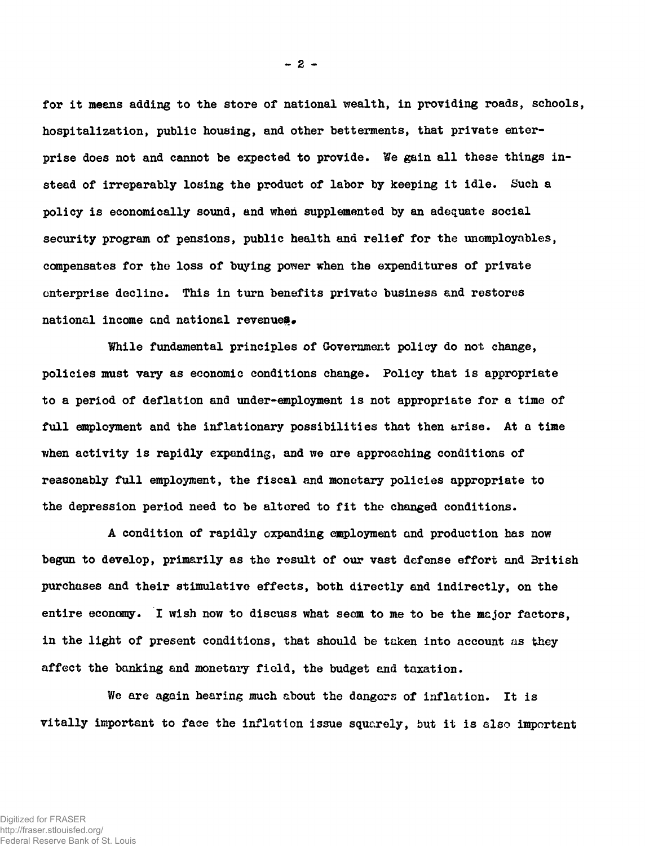**for it means adding to the store of national wealth, in providing roads, schools, hospitalization, public housing, and other betterments, that private enter**prise does not and cannot be expected to provide. We gain all these things in**stead of irreparably losing the product of labor by keeping it idle. Such a policy is economically sound, and when supplemented by an adequate social security program of pensions, public health and relief for the unomployables, compensates for the loss of buying power when the expenditures of private enterprise decline. This in turn benefits private business and restores** national income and national revenues.

**While fundamental principles of Government policy do not change, policies must vary as economic conditions change. Policy that is appropriate to a period of deflation and under-employment is not appropriate for a time of full employment and the inflationary possibilities that then arise. At a time when activity is rapidly expanding, and we are approaching conditions of reasonably full employment, the fiscal and monetary policies appropriate to the depression period need to be altered to fit the changed conditions.**

**A condition of rapidly expanding employment and production has now begun to develop, primarily as the result of our vast defense effort and British purchases and their stimulative effects, both directly and indirectly, on the entire economy. I wish now to discuss what seem to me to be the major factors, in the light of present conditions, that should be taken into account as they affect the banking and monetary field, the budget and taxation.**

**We are again hearing much about the dangors of inflation. It is vitally important to face the inflation issue squarely, but it is also important**

**- 2 -**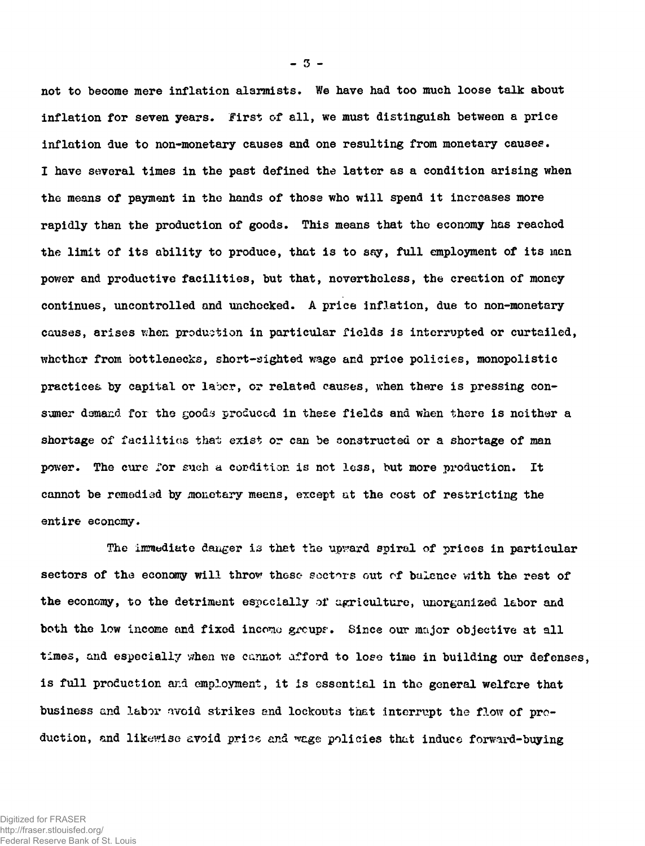**not to become mere inflation alarmists. We have had too much loose talk about inflation for seven years. First of all, we must distinguish between a price inflation due to non-monetary causes and one resulting from monetary causes. I have several times in the past defined the latter as a condition arising when the means of payment in the hands of those who will spend it increases more rapidly than the production of goods. This means that the economy has reached the limit of its ability to produce, that is to say, full employment of its man power and productive facilities, but that, nevertheless, the creation of money continues, uncontrolled and unchocked. A price inflation, due to non-monetary causes, arises when production in particular fields is interrupted or curtailed, whether from bottlenecks, short-sighted wage and price policies, monopolistic** practices by capital or labor, or related causes, when there is pressing con**sumer demand for the goods produced in these fields and when there is neither a shortage of facilities that exist** *or can* **be constructed or a shortage of man power. The cure for such a condition is not le3s, but more production. It cannot be remedied by monetary means, except at the cost of restricting the entire economy.**

**The immediate danger is that the upvard spiral of prices in particular sectors of the economy will throw these soctors out of balance with the rest of the economy, to the detriment especially of agriculture, unorganized labor and both the low income and fixed incomo group?. Since our major objective at all times, and especially when we cannot afford to lose time in building our defenses, is full production and employment, it is essential in the general welfare that business and labor avoid strikes and lockouts that interrupt the flow of production, and likewise avoid pries and n'e.ge policies that induce forward-buying**

**- 3 -**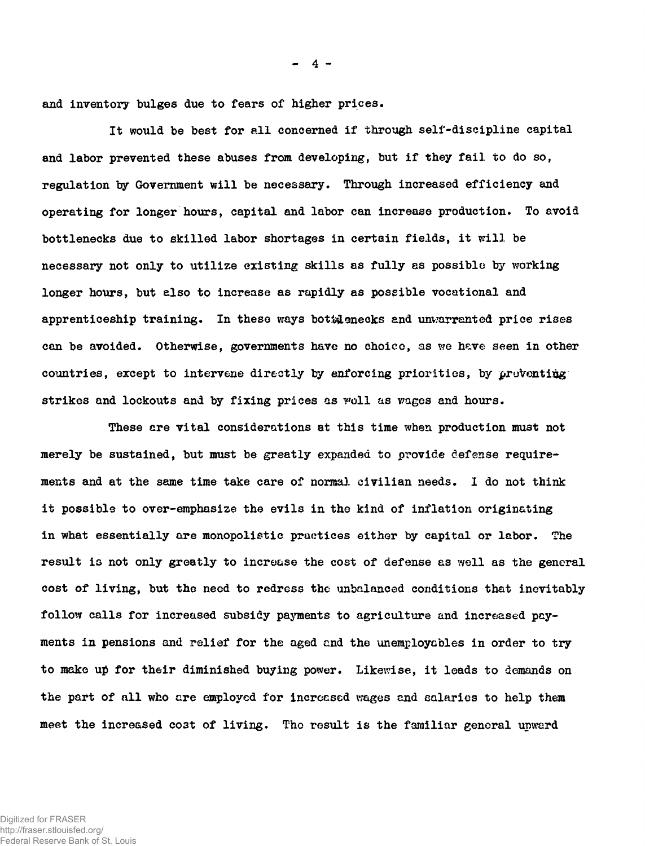**and inventory bulges due to fears of higher prices.**

**It would be best for all concerned if through self-discipline capital and labor prevented these abuses from developing, but if they fail to do so, regulation by Government will be necessary. Through increased efficiency and operating for longer hours, capital and labor can increase production. To avoid bottlenecks due to skilled labor shortages in certain fields, it will be necessary not only to utilize existing skills as fully as possible by working longer hours, but also to increase as rapidly as possible vocational and apprenticeship training. In these ways bottlenecks and unwarranted price rises can be avoided. Otherwise, governments have no choico, as we hsve seen in other countries, except to intervene directly by enforcing priorities, by proVontiggstrikes and lockouts and by fixing prices as woll as wages and hours.**

**These ere vital considerations at this time when production mu3t not merely be sustained, but must be greatly expanded to provide defense requirements and at the same time take care of normal civilian needs. I do not think it possible to over-emphasize the evils in the kind of inflation originating in what essentially are monopolistic practices either by capital or labor. The result is not only greatly to increase the cost of defense as well as the general cost of living, but the need to redress the unbalanced conditions that inevitably follow calls for increased subsidy payments to agriculture and increased payments in pensions and relief for the aged and the unemploycbles in order to try to make up for their diminished buying power. Likewise, it leads to demands on the part of all who are employed for increased wages and salaries to help them meet the increased cost of living. The result is the familiar general upward**

**- 4 -**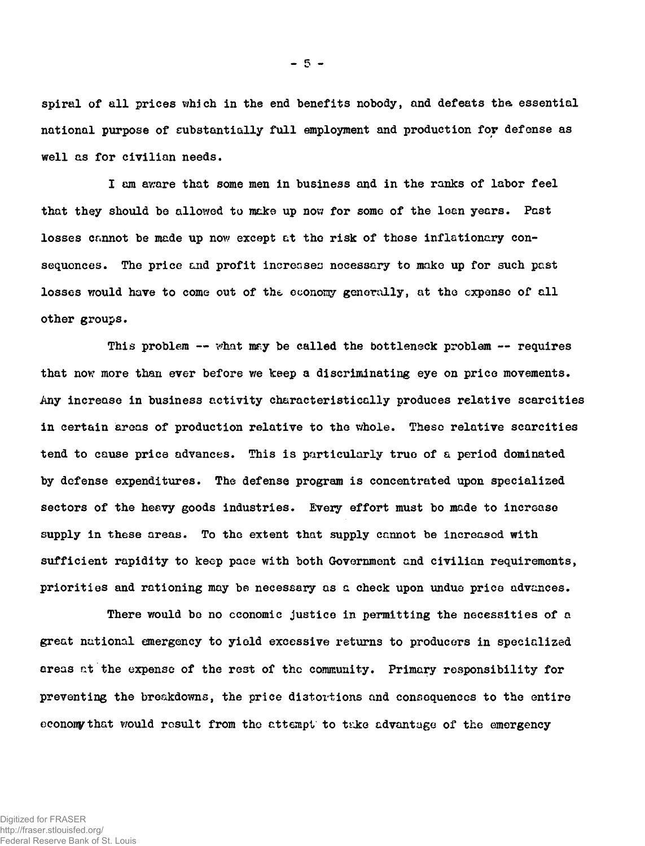**spiral of all prices which in the end benefits nobody, and defeats tha essential national purpose of substantially full employment and production for defense as well as for civilian needs.**

**I am aware that some men in business and in the ranks of labor feel that they should be allowed to make up now for some of the lean years. Past losses cannot be made up now except at tho risk of those inflationary consequences. The price and profit increases necessary to make up for such past losses would have to come out of the economy generally, at the expense of all other groups.**

This problem -- what may be called the bottleneck problem -- requires **that nov? more than ever before we keep a discriminating eye on price movements. Any increase in business activity characteristically produces relative scarcities in certain areas of production relative to the whole. These relative scarcities tend to cause price advances. This is particularly true of a period dominated by defense expend!tures. The defense program is concentrated upon specialized sectors of the heavy goods industries. Every effort must bo made to increase supply in these areas. To the extent that supply cannot be increased with sufficient rapidity to keep pace with both Government and civilian requirements, priorities and rationing may be necessary as a check upon undue price advances.**

**There would bo no economic justice in permitting the necessities of a great national emergency to yield excessive returns to producers in specialized areas at the expense of the rest of the community. Primary responsibility for preventing the breakdowns, the price distortions and consequences to the entire econony that v/ould result from tho attempt to ti-ke advantage of the emergency**

 $-5 -$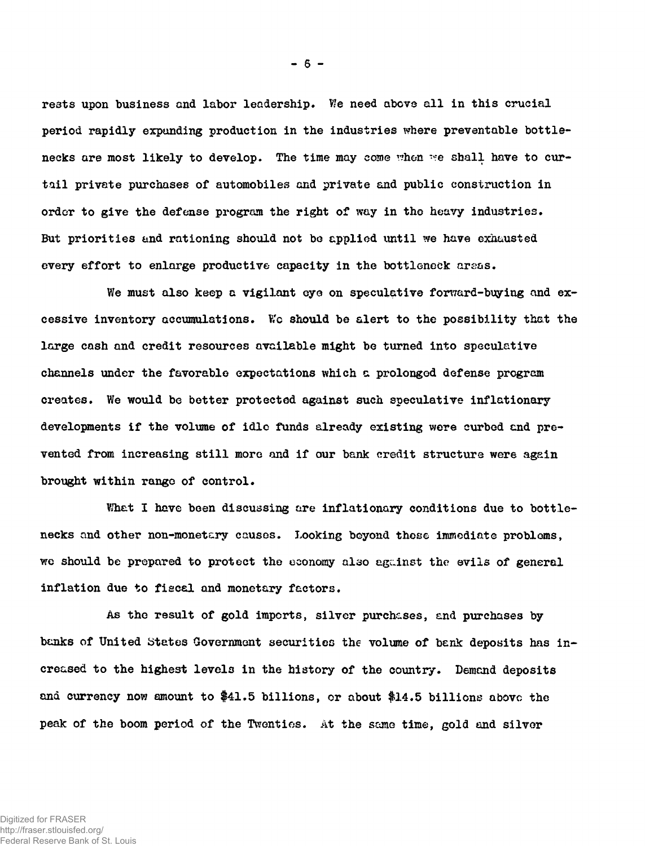**rests upon business and labor leadership. V'e need above all in this crucial period rapidly expanding production in the industries where preventable bottle**necks are most likely to develop. The time may come when we shall have to cur**tail private purchases of automobiles and private and public construction in order to give the defense program the right of way in tho heavy industries. But priorities and rationing should not be applied until we have exhausted every effort to enlarge productive capacity in the bottleneck** *areas.*

We must also keep a vigilant eye on speculative forward-buying and ex**cessive inventory accumulations. We should be alert to the possibility that the large cash and credit resources available might be turned into speculative channels under the favorable expectations which a prolonged defense program creates. We would be better protected against such speculative inflationary developments if the volume of idle funds already existing were curbed and prevented from increasing still more and if our bank credit structure were again brought within range of control.**

**Whet I have been discussing are inflationary conditions due to bottlenecks and other non-monetary causes. Looking beyond these immediate problems, we should be prepared to protect the economy also agc-inst the evils of general inflation due to fiscal and monetary factors.**

**As the result of gold imports, silver purchases, and purchases by** banks of United States Government securities the volume of bank deposits has in**creased to the highest levels in the history of the country. Demand deposits ana currency now amount to \$41.5 billions, or about #14.5 billions above the peak of the boom period of the Twenties. At the same time, gold and silver**

Digitized for FRASER http://fraser.stlouisfed.org/ Federal Reserve Bank of St. Louis **- 6 -**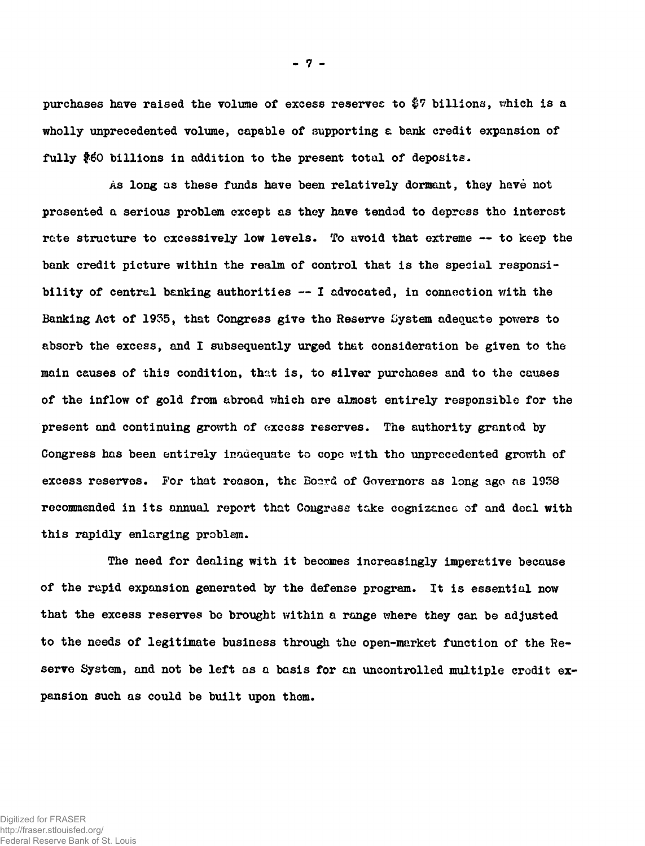purchases have raised the volume of excess reserves to \$7 billions, which is a **wholly unprecedented volume, capable of supporting e bank credit expansion of fully \$60 billions in addition to the present total of deposits.**

**As long as these funds have been relatively dormant, they have not presented a serious problem cxcept as they have tended to depress tho interest rate structure to excessively low levels. To avoid that extreme — to keep the bank credit picture within the realm of control that is the special responsibility of central banking authorities — I advocated, in connection with the Banking Act of 1935, that Congress give tho Reserve System adequate powers to absorb the excess, and I subsequently urged that consideration be given to the** main causes of this condition, that is, to silver purchases and to the causes **of the inflow of gold from abroad v/hich are almost entirely responsible for the present and continuing growth of excess reserves. The authority granted by Congress has been entirely inadequate to copo with tho unprecedented growth of** excess reserves. For that reason, the Board of Governors as long ago as 1938 **recommended in its annual report that Congress take cognizance of and deal with this rapidly enlarging problem.**

**The need for dealing with it becomes increasingly imperative because of the rapid expansion generated by the defense program. It is essential now that the excess reserves be brought within a range where they can be adjusted to the needs of legitimate business through the open-market function of the Reserve System, and not be left as a basis for an uncontrolled multiple credit expansion such as could be built upon them.**

Digitized for FRASER http://fraser.stlouisfed.org/ Federal Reserve Bank of St. Louis **- 7 -**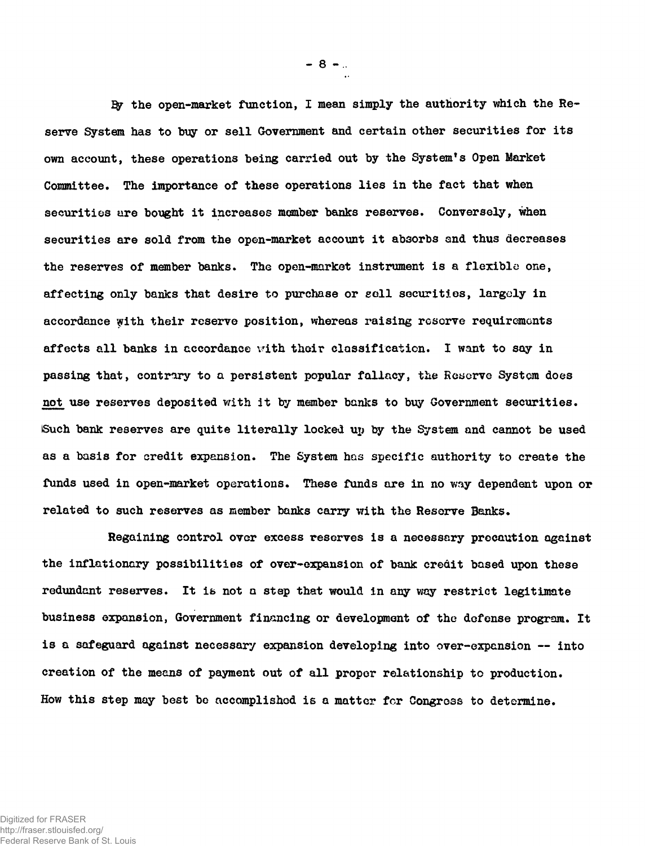**I\$r the open-market function, I mean simply the authority which the Reserve System has to buy or sell Government and certain other securities for its own account, these operations being carried out by the System\*s Open Market Committee. The importance of these operations lies in the fact that when securities are bought it increases member banks reserves. Conversely, when securities are sold from the open-market account it absorbs and thus decreases the reserves of member banks. The open-market instrument is a flexible one, affecting only banks that desire to purchase or soil securities, largely in accordance vyith their reservo position, whereas raising reserve requirements affects all banks in accordance v'ith their classification. I want to say in passing that, contrary to a persistent popular fallacy, the Reserve System does** not use reserves deposited with it by member banks to buy Government securities. **Such bank reserves are quite literally locked up by the System and cannot be used as a basis for credit expansion. The System has specific authority to create the funds used in open-market operations. These funds are in no way dependent upon or related to such reserves as member banks carry with the Reserve Banks.**

**Regaining control over excess reserves is a necessary precaution against the inflationary possibilities of over-expansion of bank credit based upon these redundant reserves. It i& not a step that would in any way restrict legitimate business expansion, Government financing or development of tho defense program. It is a safeguard against necessary expansion developing into over-expansion — into creation of the means of payment out of all proper relationship to production. How this step may best be accomplished is a matter for Congress to determine.**

**- 8 -**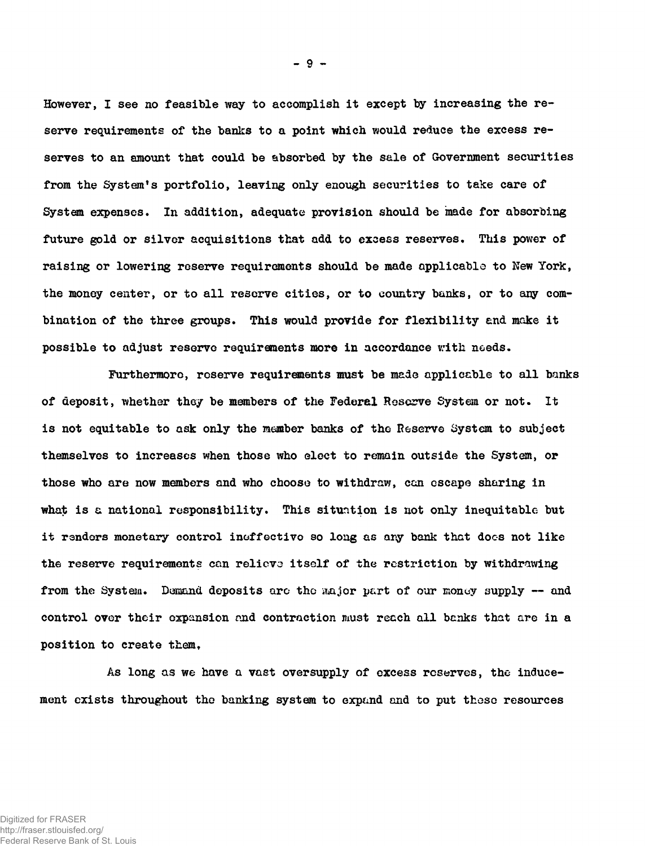**However, I see no feasible way to accomplish it except by increasing the reserve requirements of the banks to a point which would reduce the excess reserves to an amount that could be absorbed by the sale of Government securities from the System's portfolio, leaving only enough securities to take care of System expenses. In addition, adequate provision should be made for absorbing future gold or silver acquisitions that add to excess reserves. This power of raising or lowering reserve requirements should be made applicable to New York, the money center, or to all reserve cities, or to country banks, or to any combination of the three groups. This would provide for flexibility and make it possible to adjust reserve requirements more in accordance with needs.**

**Furthermore, reserve requirements must be made applicable to all banks of deposit, whether they be members of the Federel Reserve System or not. It is not equitable to ask only the member banks of the Reserve System to subject themselves to increases when those who elect to remain outside the System, or those who are now members and who choose to withdraw, can escape sharing in what is a national responsibility. This situntion is not only inequitable but it renders monetary control ineffective so long as any bank that docs not like the reserve requirements can relievo itself of the restriction by withdrawing from the System. Demand deposits arc\* tho iwijor part of our money supply — and control over their expansion and contraction must reach all banks that are in a position to create them.**

**As long as we have a vast oversupply of excess reserves, the inducement exists throughout the banking system to expand and to put these resources**

**- 9 -**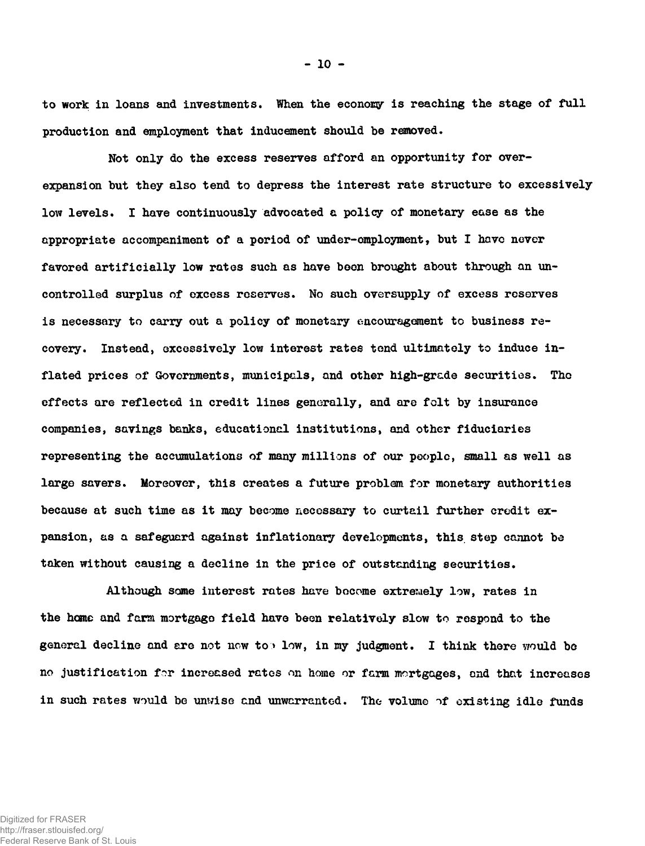**to work in loans and investments. When the economy is reaching the stage of full production and employment that inducement should be removed.**

**Not only do the excess reserves afford an opportunity for overexpansion but they also tend to depress the interest rate structure to excessively low levels. I have continuously advocated a policy of monetary ease as the appropriate accompaniment of a period of under-employment, but I hove never favored artificially low rates such as have boon brought about through an uncontrolled surplus of excess reserves. No such oversupply of excess reserves is necessary to carry out a policy of monetary encouragement to business recovery. Instead, excessively low interest rates tend ultimately to induce inflated prices of Governments, municipals, and other high-grade securities. Tho effects are reflected in credit lines generally, and are folt by insurance companies, savings banks, educational institutions, and other fiduciaries representing the accumulations of many millions of our people, small as well as large savers. Moreover, this creates a future problem for monetary authorities because at such time as it may become necessary to curtail further credit expansion, as a safeguard against inflationary developments, this, step cannot be taken without causing a decline in the price of outstanding securities.**

**Although some interest rates have bocome extrewely low, rates in the home and farm mortgage field have been relatively slow to respond to the general decline and are not now to > low, in my judgment. I think there would be no justification for increased rates on home or farm mortgages, and that increases** in such rates would be unwise and unwarranted. The volume of existing idle funds

Digitized for FRASER http://fraser.stlouisfed.org/ Federal Reserve Bank of St. Louis **- 10 -**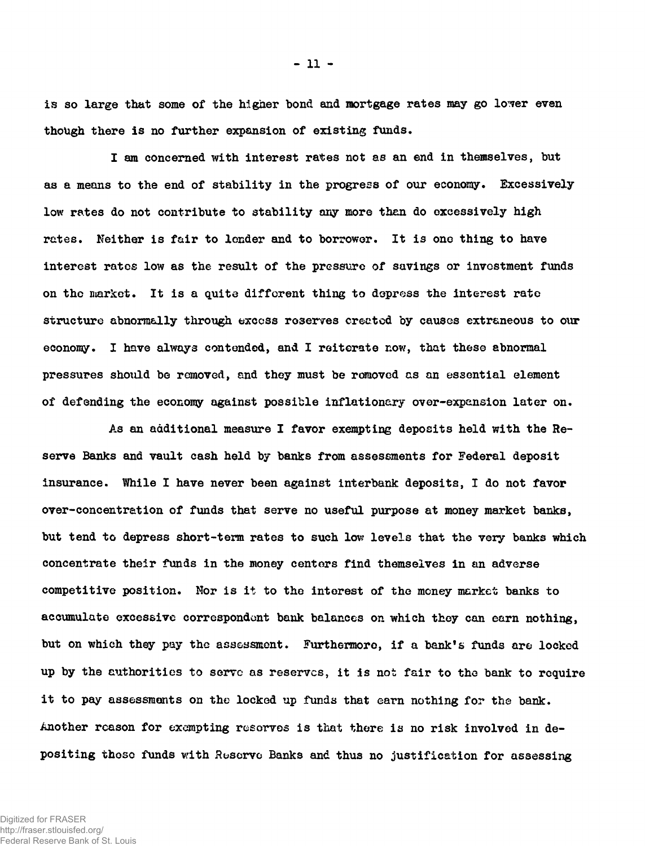*l's* **so large that some of the higher bond and mortgage rates may go lo'ver even though there is no further expansion of existing funds.**

**I am concerned with interest rates not as an end in themselves, but as a means to the end of stability in the progress of our economy. Excessively low rates do not contribute to stability any more then do excessively high rates. Neither is fair to lender and to borrower. It is one thing to have interest rates low as the result of the pressure of savings or investment funds on the market. It is a quite difforent thing to depress the interest rate structure abnormally through exccss reserves erected by causes extraneous to our economy. I have always contended, and I reiterate now, that these abnormal pressures should be removed, and they must be removed as an essential element of defending the economy against possible inflationary over-expansion later on.**

**As an additional measure I favor exempting deposits held with the Reserve Banks and vault cash held by banks from assessments for Federal deposit insurance. While I have never been against interbank deposits, I do not favor** over-concentration of funds that serve no useful purpose at money market banks, **but tend to depress short-term rates to such low levels that the very banks which concentrate their funds in the money centers find themselves in an adverse competitive position. Nor is it to the interest of the money market banks to accumulate excessive correspondent bank balances on which they can earn nothing, but on which they pay the assessment. Furthermore, if a bank's funds are locked up by the authorities to serve as reserves, it is not fair to the bank to require it to pay assessments on the locked up funds that earn nothing for the bank. Another reason for exempting reserves is that there is no risk involved in depositing those funds with Reserve Banks and thus no justification for assessing**

Digitized for FRASER http://fraser.stlouisfed.org/ Federal Reserve Bank of St. Louis  $-11 -$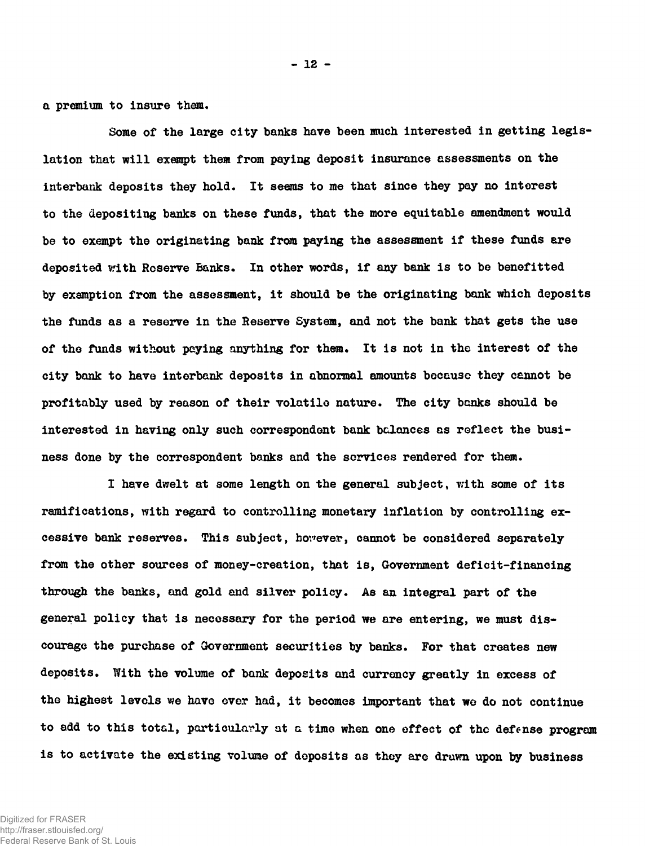**a premium to insure them.**

**Some of the large city banks have been much interested in getting legislation that will exempt them from paying deposit insurance assessments on the interbank deposits they hold. It seems to me that since they pay no interest to the depositing banks on these funds, that the more equitable amendment would be to exempt the originating bank from paying the assessment if these funds ere deposited with Reserve Banks. In other words, if any bank is to be benefitted by exemption from the assessment, it should be the originating bank which deposits the funds as a reserve in the Reserve System, and not the bank that gets the use of tho funds without paying anything for them. It is not in the interest of the city bank to have interbank deposits in abnormal amounts because they cannot be profitably used by reason of their volatile nature. The city banks should be interested in having only such correspondent bank balances as reflect the business done by the correspondent banks and the services rendered for them.**

**I have dwelt at some length on the general subject, with some of its ramifications, with regard to controlling monetary inflation by controlling excessive bank reserves. This subject, however, cannot be considered separately from the other sources of money-creation, that is, Government deficit-financing through the banks, and gold and silver policy. As an integral part of the general policy that is necessary for the period we are entering, we must discourage the purchase of Government securities by banks. For that creates new deposits. With the volume of bank deposits and currency greatly in excess of the highest levels we have ever had, it becomes important that wo do not continue to add to this total, particularly at a time when one effect of the defense program is to activate the existing volume of deposits os they are drawn upon by business**

**- 12 -**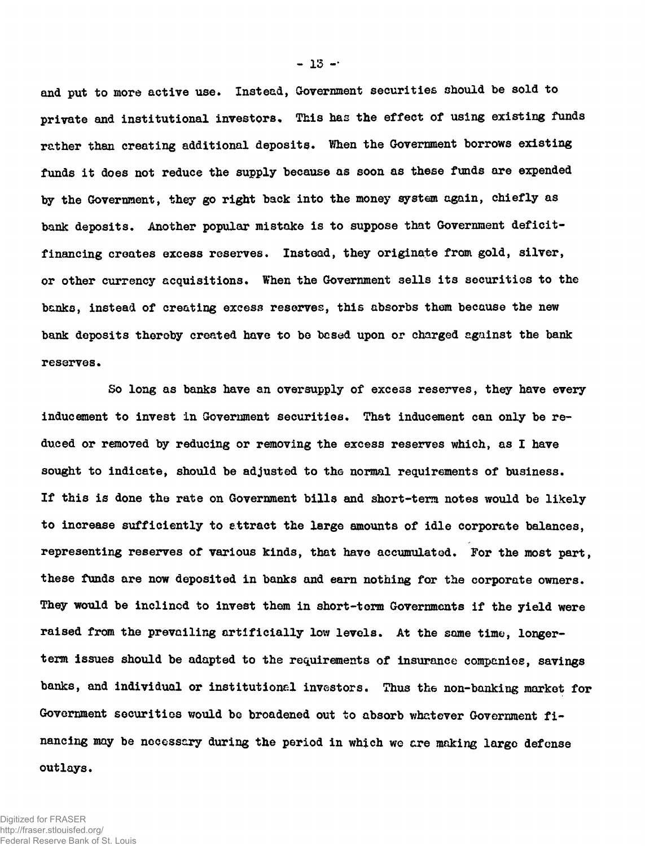**and put to more active use. Instead, Government securities should be sold to private and institutional investors« This has the effect of using existing funds rather than creating additional deposits. When the Government borrows existing funds it does not reduce the supply because as soon as these funds are expended by the Government, they go right back into the money system again, chiefly as** bank deposits. Another popular mistake is to suppose that Government deficit**financing creates excess reserves. Instead, they originate from gold, silver, or other currency acquisitions. When the Government sells its securities to the banks, instead of creating excess reserves, this absorbs them because the new bank deposits thereby created have to be based upon or charged against the bank reserves.**

**So long as banks have an oversupply of excess reserves, they have every inducement to invest in Government securities. That inducement can only be reduced or removed by reducing or removing the excess reserves which, as I have sought to indicate, should be adjusted to the normal requirements of business. If this is done the rate on Government bills and short-term notes would be likely to increase sufficiently to attract the large amounts of idle corporate balances, representing reserves of various kinds, that have accumulated. For the most part, these funds are now deposited in banks and earn nothing for the corporate owners. They would be inclined to invest them in short-term Governments if the yield were raised from the prevailing artificially low levels. At the same time, longerterm issues should be adapted to the requirements of insurance companies, savings banks, and individual or institutional investors. Thus the non-banking market for Government securities would bo broadened out to absorb whatever Government financing may be necessary during the period in which we are ranking large defense outlays.**

**- 13 -•**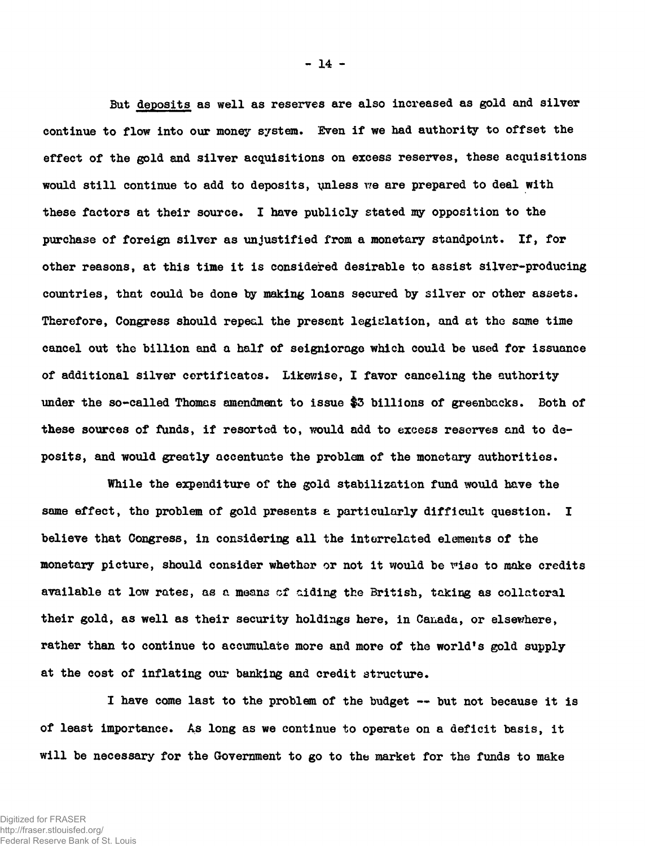**But deposits as well as reserves are also increased as gold and silver continue to flow into our money system. Even if we had authority to offset the effect of the gold and silver acquisitions on excess reserves, these acquisitions would still continue to add to deposits, unless we are prepared to deal with these factors at their source. I have publicly stated my opposition to the purchase of foreign silver as unjustified from a monetary standpoint. If, for other reasons, at this time it is considered desirable to assist silver-producing countries, that could be done by making loans secured by silver or other assets. Therefore, Congress should repeal the present legislation, and at the same time cancel out the billion and a half of seigniorage which could be used for issuance of additional silver certificates. Likewise, I favor canceling the authority under the so-called Thomas amendment to issue \$3 billions of greenbacks. Both of these sources of funds, if resorted to, would add to excess reserves and to deposits, and would greatly accentuate the problem of the monetary authorities.**

**While the expenditure of the gold stabilization fund would have the same effect, the problem of gold presents a particularly difficult question. I believe that Congress, in considering all the interrelated elements of the monetary picture, should consider whether or not it would be rise to make credits available at low rates, as a means cf aiding the British, taking as collateral their gold, as well as their security holdings here, in Canada, or elsewhere, rather than to continue to accumulate more and more of the world's gold supply at the cost of inflating our banking and credit structure.**

**I have come last to the problem of the budget — but not because it is of least importance. As long as we continue to operate on a deficit basis, it will be necessary for the Government to go to the market for the funds to make**

**- 14 -**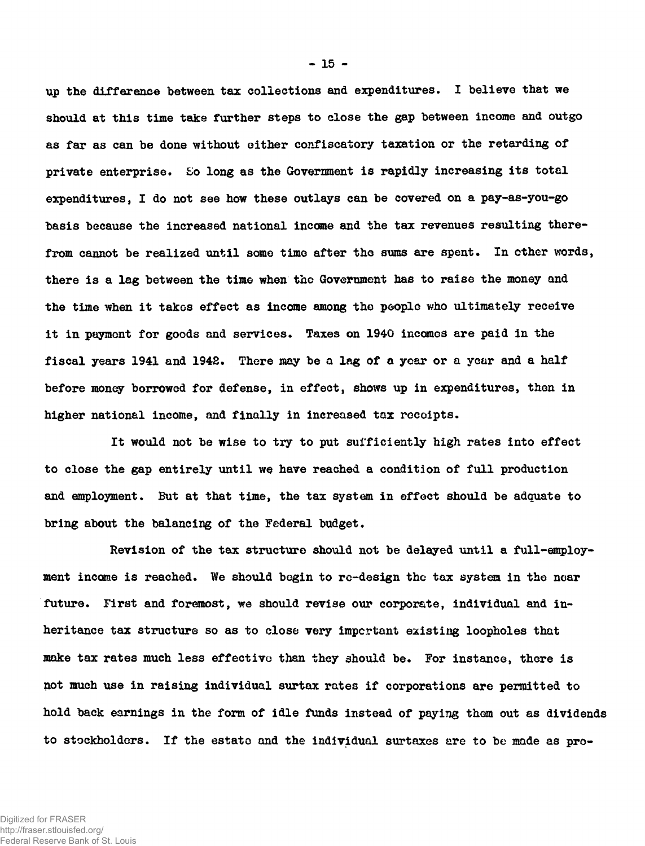**up the difference between tax collections and expenditures. I believe that we should at this time take further steps to close the gap between income and outgo as far as can be done without either confiscatory taxation or the retarding of private enterprise. So long as the Government is rapidly increasing its total expenditures, I do not see how these outlays can be covered on a pay-as-you-go basis because the increased national income and the tax revenues resulting therefrom cannot be realized until some time after the sums are spent. In other words, there is a lag between the time when the Government has to raise the money and the time when it takes effect as income among the people who ultimately receive it in paymont for goods and services. Taxes on 1940 incomes are paid in the fiscal years 1941 and 1942. There may be a lag of a year or a year and a half before money borrowed for defense, in effect, shows up in expenditures, then in higher national income, and finally in increased tax receipts.**

**It would not be wise to try to put sufficiently high rates into effect to close the gap entirely until we have reached a condition of full production and employment. But at that time, the tax system in effect should be adquate to bring about the balancing of the Federal budget.**

**Revision of the tax structure should not be delayed until a full-employment income is reached. We should begin to re-design the tax system in the near future. First and foremost, we should revise our corporate, individual and inheritance tax structure so as to close very important existing loopholes that make tax rates much less effective than they should be. For instance, there is not much use in raising individual surtax rates if corporations are permitted to hold back earnings in the form of idle funds instead of paying thorn out as dividends to stockholders. If the estate and the individual surtaxes are to be made as pro**

**- 15 -**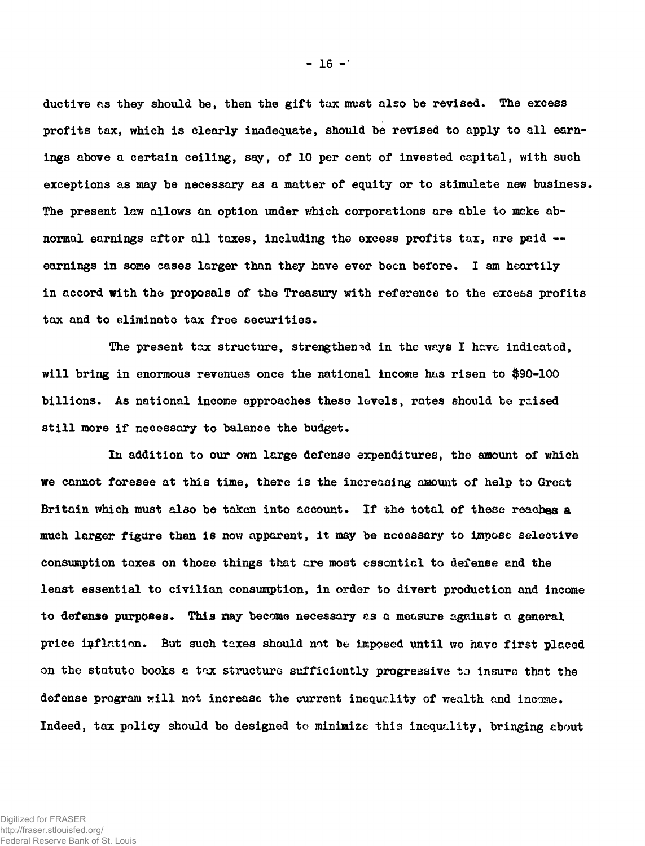**ductive as they should he, then the gift tax must also be revised. The excess profits tax, which is clearly inadequate, should be revised to apply to all earnings above a certain ceiling, say, of 10 per cent of invested capital, with such exceptions as may be necessary as a matter of equity or to stimulate new business. The present law allows an option under which corporations are able to make abnormal earnings after all taxes, including the excess profits tax, are paid earnings in some cases larger than they have ever been before. I am heartily in accord with the proposals of the Treasury with reference to the excess profits tax and to eliminate tax free securities.**

**The present tax structure, strengthened in the ways I have indicated, will bring in enormous revenues once the national income has risen to \$90-100 billions. As national income approaches these levels, rates should be raised still more if necessary to balance the budget.**

**In addition to our own large defense expenditures, the amount of which we cannot foresee at this time, there is the increasing amount of help to Great Britain which must also be taken into account. If the total of these reaches a much larger figure than is now apparent, it may be nccessary to impose selective consumption taxes on those things that are most essential to defense and the least essential to civilian consumption, in order to divert production and income to defense purposes. This may become necessary es a measure against a general price inflation. But such taxes should not be imposed until we have first placed on the statute books a tax structure sufficiently progressive to insure that the defense program will not increase the current inequality of wealth and income. Indeed, tax policy should be designed to minimize this inequality, bringing about**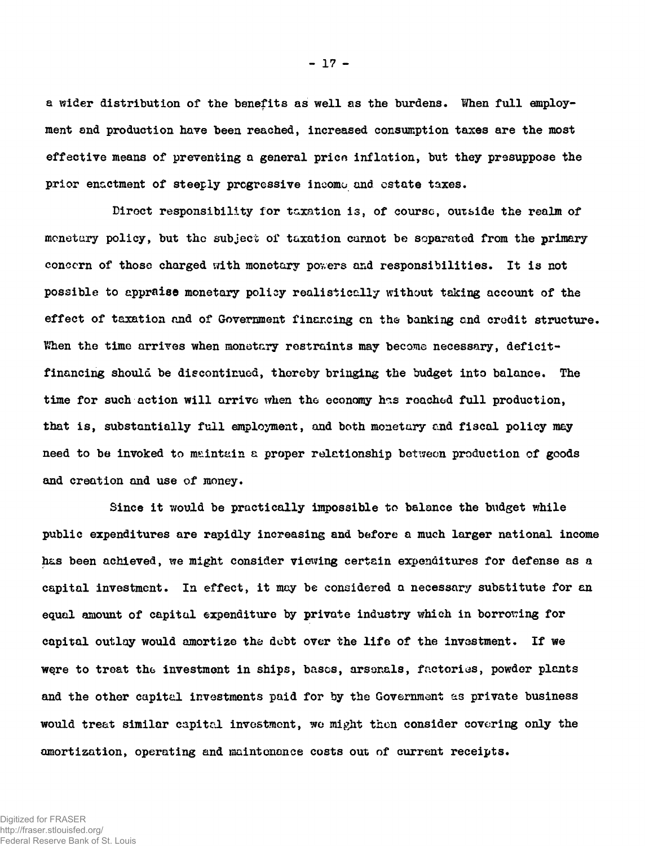**a wider distribution of the benefits as well as the burdens. When full employment and production have been reached, increased consumption taxes are the most effective means of preventing a general prico inflation, but they presuppose the prior enactment of steeply progressive income and estate taxes.**

**Diroct responsibility for taxation is, of course, outside the realm of monetary policy, but the subject of taxation cannot be separated from the primary concern of those charged with monetary pov,ers and responsibilities. It is not possible to appraise monetary policy realistically without taking account of the effect of taxation and of Government financing cn the banking and credit structure.** When the time arrives when monetary restraints may become necessary, deficit**financing should be discontinued, thereby bringing the budget into balance. The time for such action will arrive when the economy hns roachod full production, that is, substantially full employment, and both monetary and fiscal policy may need to be invoked to maintain a proper relationship between production of goods and creation and use of money.**

Since it would be practically impossible to balance the budget while **public expenditures are rapidly increasing and before a much larger national income has been achieved, we might consider viewing certain expenditures for defense as a capital investment. In effect, it may be considered a necessary substitute for an** equal amount of capital expenditure by private industry which in borrowing for **capital outlay would amortize the debt over the life of the investment. If we w§re to treat the investment in ships, bases, arsenals, factories, powder plants and the other capital investments paid for by the Government as private business would treat similar capital investment, wo might then consider covering only the amortization, operating and maintenance costs out of current receipts.**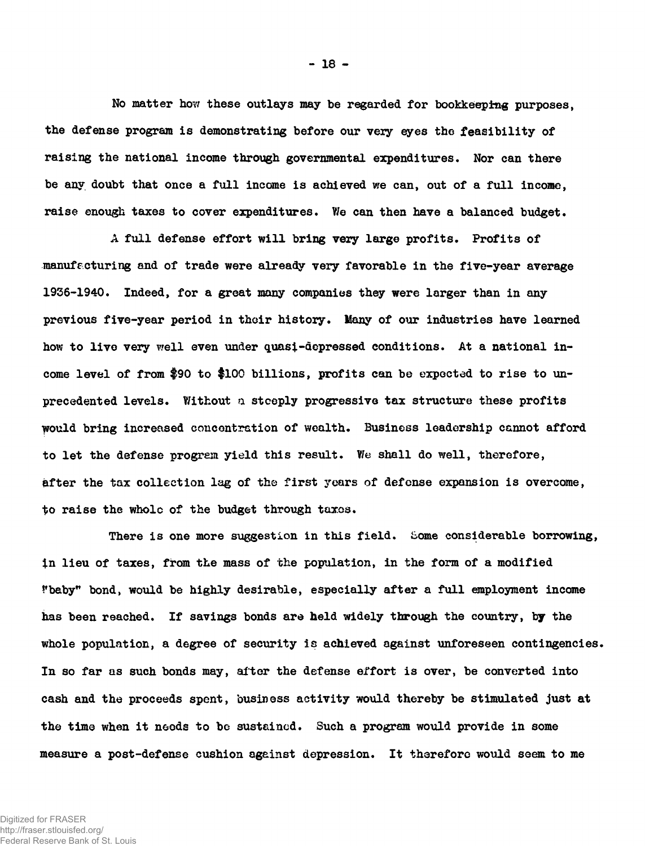**No matter how these outlays may be regarded for bookkeeping purposes, the defense program is demonstrating before our very eyes the feasibility of raising the national income through governmental expenditures. Nor can there be any doubt that once a full income is achieved we can, out of a full income, raise enough taxes to cover expenditures. We can then have a balanced budget.**

**A full defense effort will bring very large profits. Profits of manufacturing and of trade were already very favorable in the five-year average 1936-1940. Indeed, for a great many companies they were larger than in any previous five-year period in their history. Many of our industries have learned how to live very well even under quasi-depressed conditions. At a national income level of from \$90 to \$100 billions, profits can be expected to rise to unprecedented levels. Without a steeply progressive tax structure these profits would bring increased concentration of wealth. Business leadership cannot afford to let the defense program yield this result. We shall do well, therefore, after the tax collection lag of the first years of defense expansion is overcome, to raise the whole of the budget through taxes.**

**There is one more suggestion in this field. Some considerable borrowing, in lieu of taxes, from the mass of the population, in the form of a modified Fbaby" bond, would be highly desirable, especially after a full employment income has been reached. If savings bonds are held widely through the country, by the whole population, a degree of security is achieved against unforeseen contingencies. In so far as such bonds may, after the defense effort is over, be converted into cash and the proceeds spent, business activity would thereby be stimulated just at the time when it needs to be sustained. Such a program would provide in some measure a post-defense cushion against depression. It therefore would seem to me**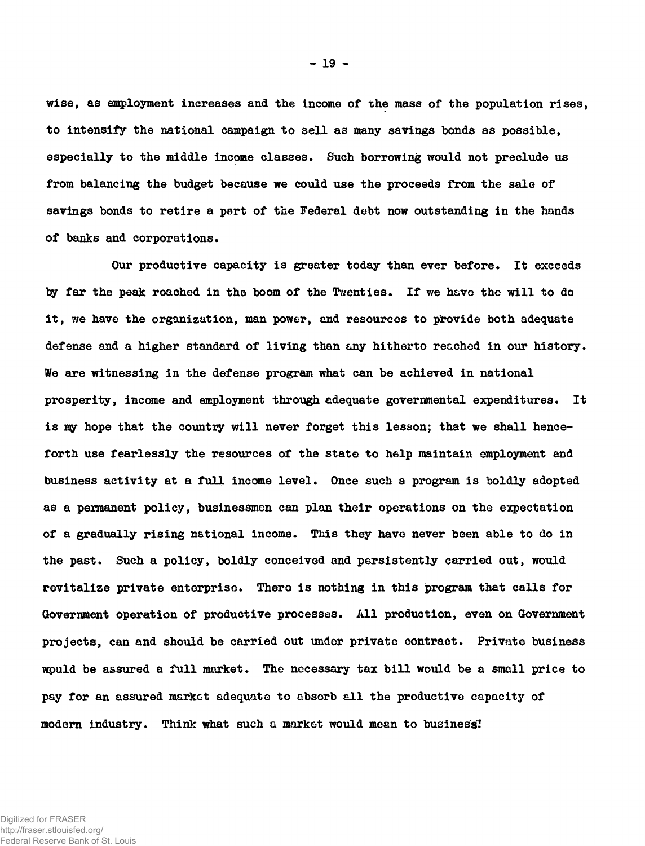**wise, as employment increases and the income of the mass of the population rises, to intensify the national campaign to sell as many savings bonds as possible, especially to the middle income classes. Such borrowing would not preclude us from balancing the budget because we could use the proceeds from the sale of savings bonds to retire a part of the Federal debt now outstanding in the hands of banks and corporations.**

**Our productive capacity is greater today than ever before. It exceeds by far the peak roached in the boom of the Twenties. If we have the will to do it, we have the organization, man power, end resourcos to provide both adequate defense and a higher standard of living than any hitherto reached in our history. We are witnessing in the defense program what can be achieved in national prosperity, income and employment through adequate governmental expenditures. It** is my hope that the country will never forget this lesson; that we shall hence**forth use fearlessly the resources of the state to help maintain employment and business activity at a full income level. Once such a program is boldly adopted as a permanent policy, businessmen can plan their operations on the expectation of a gradually rising national income. This they have never been able to do in the past. Such a policy, boldly conceived and persistently carried out, would revitalize private enterprise. There is nothing in this program that calls for Government operation of productive processes. All production, even on Government projects, can and should be carried out under private contract. Private business wpuld be assured a full market. The necessary tax bill would be a small price to pay for an assured market adequate to absorb all the productive capacity of** modern industry. Think what such a market would meen to business!

**- 19 -**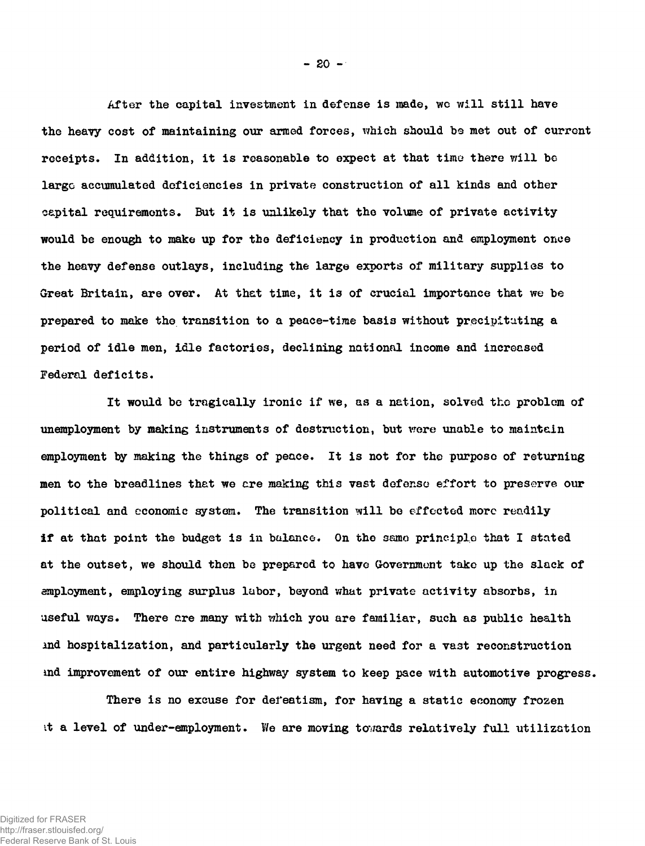**After the capital investment in defense is made, wc will still have the heavy cost of maintaining our armed forces, which should be met out of current receipts. In addition, it is reasonable to expect at that time there will be largo accumulated deficiencies in private construction of all kinds and other capital requirements. But it is unlikely that the volume of private activity would be enough to make up for the deficiency in production and employment once the heavy defense outlays, including the large exports of military supplies to Great Britain, are over. At that time, it is of crucial importance that we be prepared to make the transition to a peace-time basis without precipitating a period of idle men, idle factories, declining national income and increased Federal deficits.**

**It would be tragically ironic if we, as a nation, solved the problem of unemployment by making instruments of destruction, but vrere unable to maintain employment by making the things of peace. It is not for the purpose of returning men to the breadlines that we ere making this vast defense effort to preserve our political and economic system. The transition will bo effected more readily if at that point the budget is in balance. On the samo principle that I stated at the outset, we should then be prepared to have Government take up the slack of employment, employing surplus labor, beyond what private activity absorbs, in useful ways. There are many with which you are familiar, such as public health** ind hospitalization, and particularly the urgent need for a vast reconstruction **md improvement of our entire highway system to keep pace with automotive progress.**

**There is no excuse for defeatism, for having a static economy frozen it a level of under-employment. We are moving towards relatively full utilization**